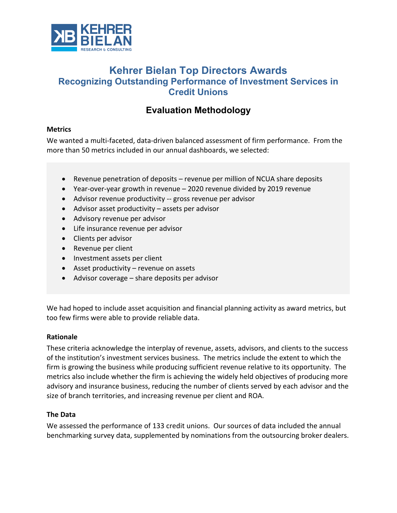

# **Kehrer Bielan Top Directors Awards Recognizing Outstanding Performance of Investment Services in Credit Unions**

# **Evaluation Methodology**

#### **Metrics**

We wanted a multi-faceted, data-driven balanced assessment of firm performance. From the more than 50 metrics included in our annual dashboards, we selected:

- Revenue penetration of deposits revenue per million of NCUA share deposits
- Year-over-year growth in revenue 2020 revenue divided by 2019 revenue
- Advisor revenue productivity -- gross revenue per advisor
- Advisor asset productivity assets per advisor
- Advisory revenue per advisor
- Life insurance revenue per advisor
- Clients per advisor
- Revenue per client
- Investment assets per client
- Asset productivity revenue on assets
- Advisor coverage share deposits per advisor

We had hoped to include asset acquisition and financial planning activity as award metrics, but too few firms were able to provide reliable data.

### **Rationale**

These criteria acknowledge the interplay of revenue, assets, advisors, and clients to the success of the institution's investment services business. The metrics include the extent to which the firm is growing the business while producing sufficient revenue relative to its opportunity. The metrics also include whether the firm is achieving the widely held objectives of producing more advisory and insurance business, reducing the number of clients served by each advisor and the size of branch territories, and increasing revenue per client and ROA.

### **The Data**

We assessed the performance of 133 credit unions. Our sources of data included the annual benchmarking survey data, supplemented by nominations from the outsourcing broker dealers.